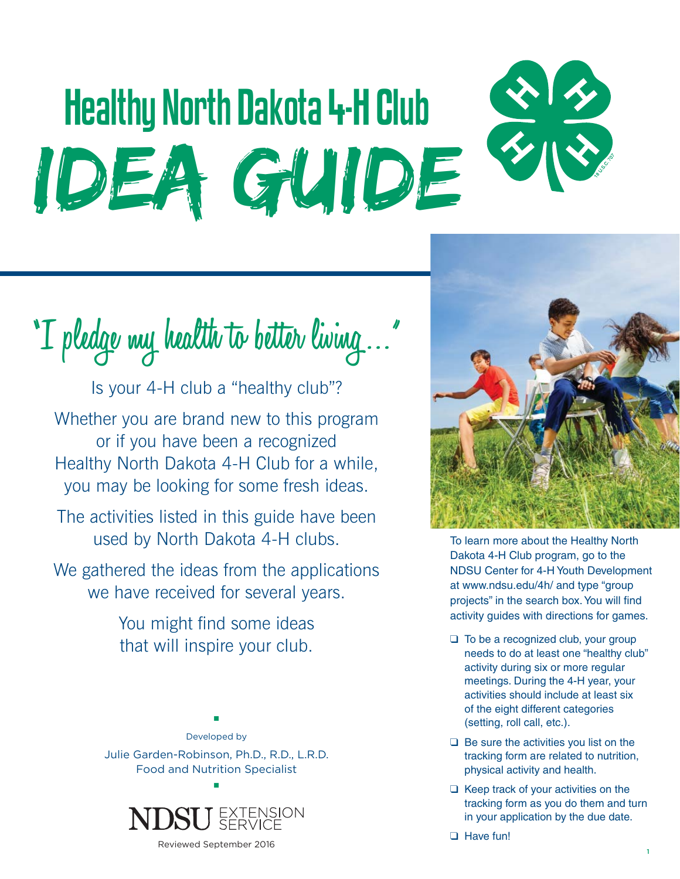# Healthy North Dakota 4-H Club Idea Guide

**"I pledge my health to better living …"**

Is your 4-H club a "healthy club"? Whether you are brand new to this program or if you have been a recognized Healthy North Dakota 4-H Club for a while, you may be looking for some fresh ideas.

The activities listed in this guide have been used by North Dakota 4-H clubs.

We gathered the ideas from the applications we have received for several years.

> You might find some ideas that will inspire your club.



■



Reviewed September 2016



To learn more about the Healthy North Dakota 4-H Club program, go to the NDSU Center for 4-H Youth Development at www.ndsu.edu/4h/ and type "group projects" in the search box. You will find activity guides with directions for games.

- ❑ To be a recognized club, your group needs to do at least one "healthy club" activity during six or more regular meetings. During the 4-H year, your activities should include at least six of the eight different categories (setting, roll call, etc.).
- ❑ Be sure the activities you list on the tracking form are related to nutrition, physical activity and health.
- ❑ Keep track of your activities on the tracking form as you do them and turn in your application by the due date.

❑ Have fun!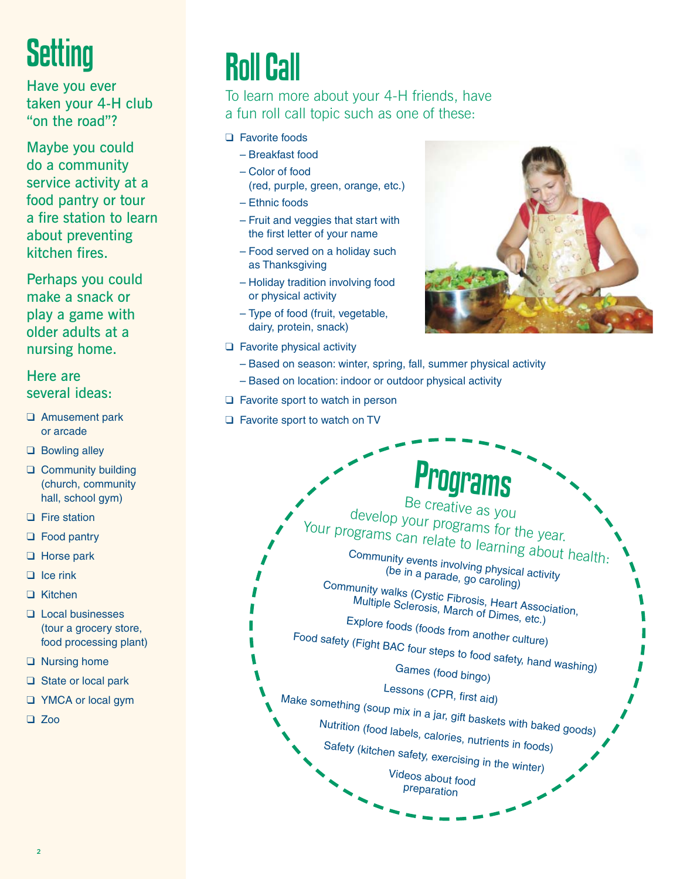### **Setting**

Have you ever taken your 4-H club "on the road"?

Maybe you could do a community service activity at a food pantry or tour a fire station to learn about preventing kitchen fires.

Perhaps you could make a snack or play a game with older adults at a nursing home.

Here are several ideas:

- ❑ Amusement park or arcade
- ❑ Bowling alley
- ❑ Community building (church, community hall, school gym)
- ❑ Fire station
- ❑ Food pantry
- ❑ Horse park
- ❑ Ice rink
- ❑ Kitchen
- ❑ Local businesses (tour a grocery store, food processing plant)
- ❑ Nursing home
- ❑ State or local park
- ❑ YMCA or local gym
- ❑ Zoo

#### Roll Call

To learn more about your 4-H friends, have a fun roll call topic such as one of these:

#### ❑ Favorite foods

- Breakfast food
- Color of food (red, purple, green, orange, etc.)
- Ethnic foods
- Fruit and veggies that start with the first letter of your name
- Food served on a holiday such as Thanksgiving
- Holiday tradition involving food or physical activity
- Type of food (fruit, vegetable, dairy, protein, snack)
- 
- ❑ Favorite physical activity
	- Based on season: winter, spring, fall, summer physical activity
	- Based on location: indoor or outdoor physical activity
- ❑ Favorite sport to watch in person
- ❑ Favorite sport to watch on TV

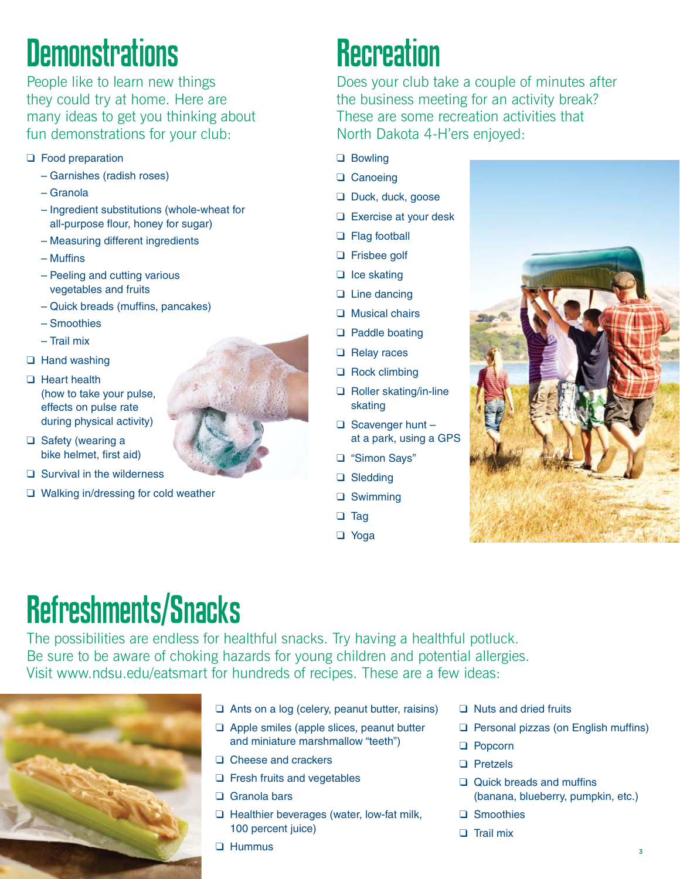### **Demonstrations**

People like to learn new things they could try at home. Here are many ideas to get you thinking about fun demonstrations for your club:

- ❑ Food preparation
	- Garnishes (radish roses)
	- Granola
	- Ingredient substitutions (whole-wheat for all-purpose flour, honey for sugar)
	- Measuring different ingredients
	- $-$  Muffins
	- Peeling and cutting various vegetables and fruits
	- Quick breads (muffins, pancakes)
	- Smoothies
	- Trail mix
- ❑ Hand washing
- ❑ Heart health (how to take your pulse, effects on pulse rate during physical activity)
- ❑ Safety (wearing a bike helmet, first aid)
- ❑ Survival in the wilderness
- ❑ Walking in/dressing for cold weather

#### **Recreation**

Does your club take a couple of minutes after the business meeting for an activity break? These are some recreation activities that North Dakota 4-H'ers enjoyed:

- ❑ Bowling
- ❑ Canoeing
- ❑ Duck, duck, goose
- ❑ Exercise at your desk
- ❑ Flag football
- ❑ Frisbee golf
- ❑ Ice skating
- ❑ Line dancing
- ❑ Musical chairs
- ❑ Paddle boating
- ❑ Relay races
- ❑ Rock climbing
- ❑ Roller skating/in-line skating
- ❑ Scavenger hunt at a park, using a GPS
- ❑ "Simon Says"
- ❑ Sledding
- ❑ Swimming
- ❑ Tag
- ❑ Yoga



#### Refreshments/Snacks

The possibilities are endless for healthful snacks. Try having a healthful potluck. Be sure to be aware of choking hazards for young children and potential allergies. Visit www.ndsu.edu/eatsmart for hundreds of recipes. These are a few ideas:



- ❑ Ants on a log (celery, peanut butter, raisins)
- ❑ Apple smiles (apple slices, peanut butter and miniature marshmallow "teeth")
- ❑ Cheese and crackers
- ❑ Fresh fruits and vegetables
- ❑ Granola bars
- ❑ Healthier beverages (water, low-fat milk, 100 percent juice)
- ❑ Hummus
- ❑ Nuts and dried fruits
- $\Box$  Personal pizzas (on English muffins)
- ❑ Popcorn
- ❑ Pretzels
- $\Box$  Quick breads and muffins (banana, blueberry, pumpkin, etc.)
- □ Smoothies
- ❑ Trail mix